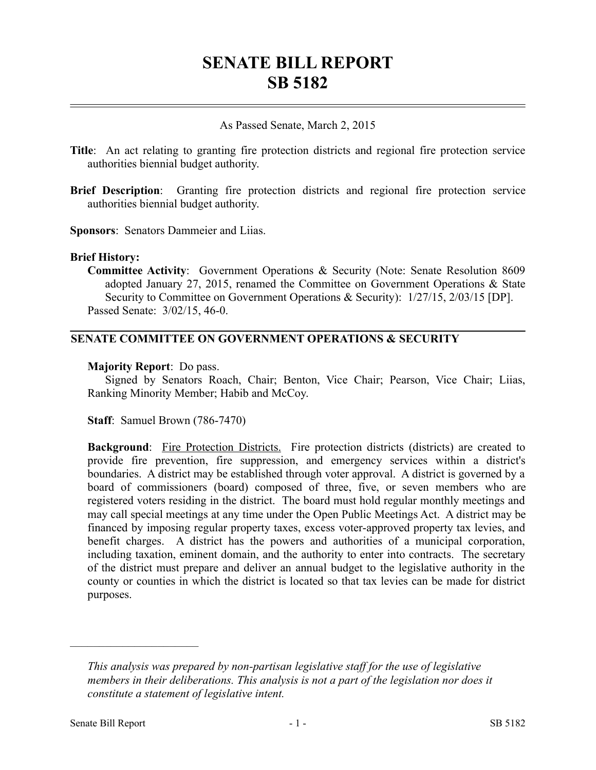# **SENATE BILL REPORT SB 5182**

# As Passed Senate, March 2, 2015

- **Title**: An act relating to granting fire protection districts and regional fire protection service authorities biennial budget authority.
- **Brief Description**: Granting fire protection districts and regional fire protection service authorities biennial budget authority.

**Sponsors**: Senators Dammeier and Liias.

### **Brief History:**

**Committee Activity**: Government Operations & Security (Note: Senate Resolution 8609 adopted January 27, 2015, renamed the Committee on Government Operations & State Security to Committee on Government Operations & Security): 1/27/15, 2/03/15 [DP]. Passed Senate: 3/02/15, 46-0.

# **SENATE COMMITTEE ON GOVERNMENT OPERATIONS & SECURITY**

### **Majority Report**: Do pass.

Signed by Senators Roach, Chair; Benton, Vice Chair; Pearson, Vice Chair; Liias, Ranking Minority Member; Habib and McCoy.

**Staff**: Samuel Brown (786-7470)

**Background:** Fire Protection Districts. Fire protection districts (districts) are created to provide fire prevention, fire suppression, and emergency services within a district's boundaries. A district may be established through voter approval. A district is governed by a board of commissioners (board) composed of three, five, or seven members who are registered voters residing in the district. The board must hold regular monthly meetings and may call special meetings at any time under the Open Public Meetings Act. A district may be financed by imposing regular property taxes, excess voter-approved property tax levies, and benefit charges. A district has the powers and authorities of a municipal corporation, including taxation, eminent domain, and the authority to enter into contracts. The secretary of the district must prepare and deliver an annual budget to the legislative authority in the county or counties in which the district is located so that tax levies can be made for district purposes.

––––––––––––––––––––––

*This analysis was prepared by non-partisan legislative staff for the use of legislative members in their deliberations. This analysis is not a part of the legislation nor does it constitute a statement of legislative intent.*